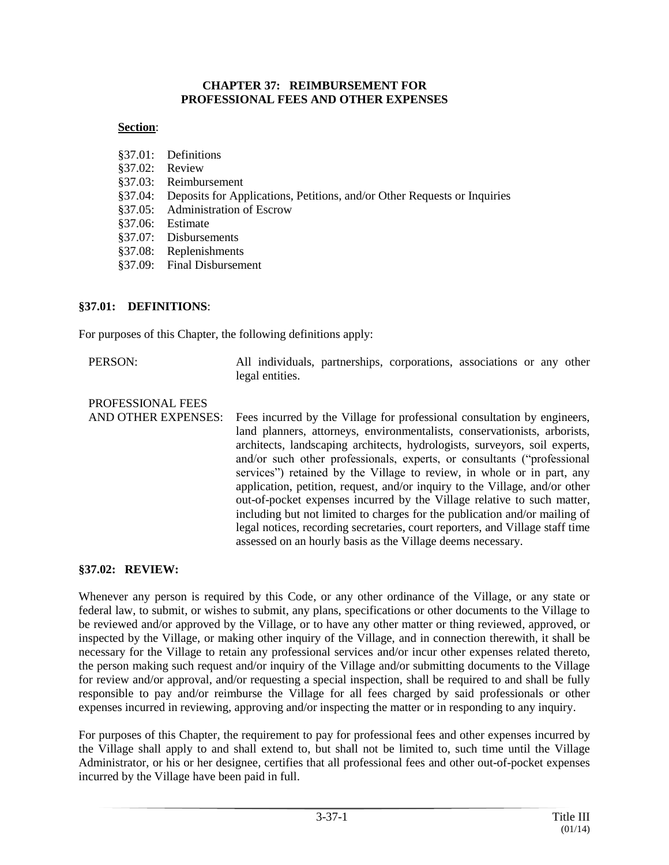#### **CHAPTER 37: REIMBURSEMENT FOR PROFESSIONAL FEES AND OTHER EXPENSES**

### **Section**:

| §37.01: Definitions                                                              |
|----------------------------------------------------------------------------------|
| §37.02: Review                                                                   |
| §37.03: Reimbursement                                                            |
| §37.04: Deposits for Applications, Petitions, and/or Other Requests or Inquiries |
| §37.05: Administration of Escrow                                                 |
| §37.06: Estimate                                                                 |
| §37.07: Disbursements                                                            |
| §37.08: Replenishments                                                           |
| §37.09: Final Disbursement                                                       |

#### **§37.01: DEFINITIONS**:

For purposes of this Chapter, the following definitions apply:

| PERSON: | All individuals, partnerships, corporations, associations or any other |  |  |  |
|---------|------------------------------------------------------------------------|--|--|--|
|         | legal entities.                                                        |  |  |  |
|         |                                                                        |  |  |  |

PROFESSIONAL FEES AND OTHER EXPENSES: Fees incurred by the Village for professional consultation by engineers, land planners, attorneys, environmentalists, conservationists, arborists, architects, landscaping architects, hydrologists, surveyors, soil experts, and/or such other professionals, experts, or consultants ("professional services") retained by the Village to review, in whole or in part, any application, petition, request, and/or inquiry to the Village, and/or other out-of-pocket expenses incurred by the Village relative to such matter, including but not limited to charges for the publication and/or mailing of legal notices, recording secretaries, court reporters, and Village staff time assessed on an hourly basis as the Village deems necessary.

#### **§37.02: REVIEW:**

Whenever any person is required by this Code, or any other ordinance of the Village, or any state or federal law, to submit, or wishes to submit, any plans, specifications or other documents to the Village to be reviewed and/or approved by the Village, or to have any other matter or thing reviewed, approved, or inspected by the Village, or making other inquiry of the Village, and in connection therewith, it shall be necessary for the Village to retain any professional services and/or incur other expenses related thereto, the person making such request and/or inquiry of the Village and/or submitting documents to the Village for review and/or approval, and/or requesting a special inspection, shall be required to and shall be fully responsible to pay and/or reimburse the Village for all fees charged by said professionals or other expenses incurred in reviewing, approving and/or inspecting the matter or in responding to any inquiry.

For purposes of this Chapter, the requirement to pay for professional fees and other expenses incurred by the Village shall apply to and shall extend to, but shall not be limited to, such time until the Village Administrator, or his or her designee, certifies that all professional fees and other out-of-pocket expenses incurred by the Village have been paid in full.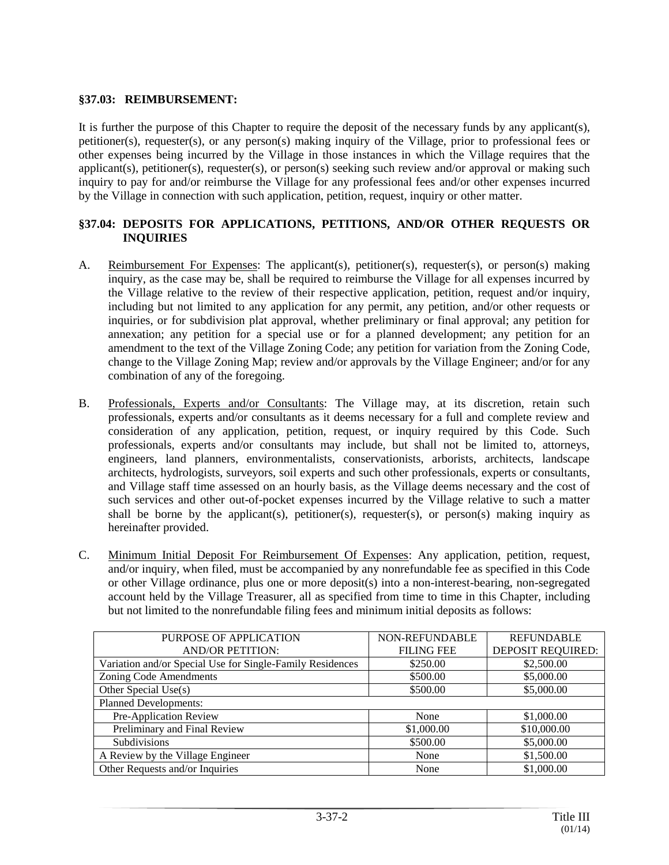### **§37.03: REIMBURSEMENT:**

It is further the purpose of this Chapter to require the deposit of the necessary funds by any applicant(s), petitioner(s), requester(s), or any person(s) making inquiry of the Village, prior to professional fees or other expenses being incurred by the Village in those instances in which the Village requires that the applicant(s), petitioner(s), requester(s), or person(s) seeking such review and/or approval or making such inquiry to pay for and/or reimburse the Village for any professional fees and/or other expenses incurred by the Village in connection with such application, petition, request, inquiry or other matter.

### **§37.04: DEPOSITS FOR APPLICATIONS, PETITIONS, AND/OR OTHER REQUESTS OR INQUIRIES**

- A. Reimbursement For Expenses: The applicant(s), petitioner(s), requester(s), or person(s) making inquiry, as the case may be, shall be required to reimburse the Village for all expenses incurred by the Village relative to the review of their respective application, petition, request and/or inquiry, including but not limited to any application for any permit, any petition, and/or other requests or inquiries, or for subdivision plat approval, whether preliminary or final approval; any petition for annexation; any petition for a special use or for a planned development; any petition for an amendment to the text of the Village Zoning Code; any petition for variation from the Zoning Code, change to the Village Zoning Map; review and/or approvals by the Village Engineer; and/or for any combination of any of the foregoing.
- B. Professionals, Experts and/or Consultants: The Village may, at its discretion, retain such professionals, experts and/or consultants as it deems necessary for a full and complete review and consideration of any application, petition, request, or inquiry required by this Code. Such professionals, experts and/or consultants may include, but shall not be limited to, attorneys, engineers, land planners, environmentalists, conservationists, arborists, architects, landscape architects, hydrologists, surveyors, soil experts and such other professionals, experts or consultants, and Village staff time assessed on an hourly basis, as the Village deems necessary and the cost of such services and other out-of-pocket expenses incurred by the Village relative to such a matter shall be borne by the applicant(s), petitioner(s), requester(s), or person(s) making inquiry as hereinafter provided.
- C. Minimum Initial Deposit For Reimbursement Of Expenses: Any application, petition, request, and/or inquiry, when filed, must be accompanied by any nonrefundable fee as specified in this Code or other Village ordinance, plus one or more deposit(s) into a non-interest-bearing, non-segregated account held by the Village Treasurer, all as specified from time to time in this Chapter, including but not limited to the nonrefundable filing fees and minimum initial deposits as follows:

| PURPOSE OF APPLICATION                                    | <b>NON-REFUNDABLE</b> | <b>REFUNDABLE</b>        |  |  |  |  |
|-----------------------------------------------------------|-----------------------|--------------------------|--|--|--|--|
| <b>AND/OR PETITION:</b>                                   | <b>FILING FEE</b>     | <b>DEPOSIT REQUIRED:</b> |  |  |  |  |
| Variation and/or Special Use for Single-Family Residences | \$250.00              | \$2,500.00               |  |  |  |  |
| Zoning Code Amendments                                    | \$500.00              | \$5,000.00               |  |  |  |  |
| Other Special Use(s)                                      | \$500.00              | \$5,000.00               |  |  |  |  |
| <b>Planned Developments:</b>                              |                       |                          |  |  |  |  |
| Pre-Application Review                                    | None                  | \$1,000.00               |  |  |  |  |
| Preliminary and Final Review                              | \$1,000.00            | \$10,000.00              |  |  |  |  |
| Subdivisions                                              | \$500.00              | \$5,000.00               |  |  |  |  |
| A Review by the Village Engineer                          | None                  | \$1,500.00               |  |  |  |  |
| Other Requests and/or Inquiries                           | None                  | \$1,000.00               |  |  |  |  |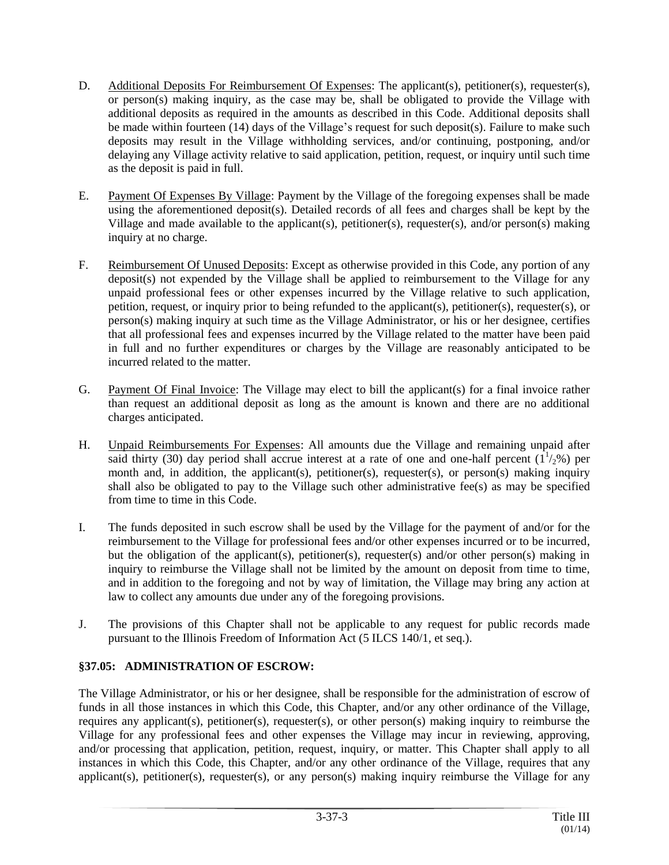- D. Additional Deposits For Reimbursement Of Expenses: The applicant(s), petitioner(s), requester(s), or person(s) making inquiry, as the case may be, shall be obligated to provide the Village with additional deposits as required in the amounts as described in this Code. Additional deposits shall be made within fourteen (14) days of the Village's request for such deposit(s). Failure to make such deposits may result in the Village withholding services, and/or continuing, postponing, and/or delaying any Village activity relative to said application, petition, request, or inquiry until such time as the deposit is paid in full.
- E. Payment Of Expenses By Village: Payment by the Village of the foregoing expenses shall be made using the aforementioned deposit(s). Detailed records of all fees and charges shall be kept by the Village and made available to the applicant(s), petitioner(s), requester(s), and/or person(s) making inquiry at no charge.
- F. Reimbursement Of Unused Deposits: Except as otherwise provided in this Code, any portion of any deposit(s) not expended by the Village shall be applied to reimbursement to the Village for any unpaid professional fees or other expenses incurred by the Village relative to such application, petition, request, or inquiry prior to being refunded to the applicant(s), petitioner(s), requester(s), or person(s) making inquiry at such time as the Village Administrator, or his or her designee, certifies that all professional fees and expenses incurred by the Village related to the matter have been paid in full and no further expenditures or charges by the Village are reasonably anticipated to be incurred related to the matter.
- G. Payment Of Final Invoice: The Village may elect to bill the applicant(s) for a final invoice rather than request an additional deposit as long as the amount is known and there are no additional charges anticipated.
- H. Unpaid Reimbursements For Expenses: All amounts due the Village and remaining unpaid after said thirty (30) day period shall accrue interest at a rate of one and one-half percent  $(1^{1/2}_{2})$  per month and, in addition, the applicant(s), petitioner(s), requester(s), or person(s) making inquiry shall also be obligated to pay to the Village such other administrative fee(s) as may be specified from time to time in this Code.
- I. The funds deposited in such escrow shall be used by the Village for the payment of and/or for the reimbursement to the Village for professional fees and/or other expenses incurred or to be incurred, but the obligation of the applicant(s), petitioner(s), requester(s) and/or other person(s) making in inquiry to reimburse the Village shall not be limited by the amount on deposit from time to time, and in addition to the foregoing and not by way of limitation, the Village may bring any action at law to collect any amounts due under any of the foregoing provisions.
- J. The provisions of this Chapter shall not be applicable to any request for public records made pursuant to the Illinois Freedom of Information Act (5 ILCS 140/1, et seq.).

## **§37.05: ADMINISTRATION OF ESCROW:**

The Village Administrator, or his or her designee, shall be responsible for the administration of escrow of funds in all those instances in which this Code, this Chapter, and/or any other ordinance of the Village, requires any applicant(s), petitioner(s), requester(s), or other person(s) making inquiry to reimburse the Village for any professional fees and other expenses the Village may incur in reviewing, approving, and/or processing that application, petition, request, inquiry, or matter. This Chapter shall apply to all instances in which this Code, this Chapter, and/or any other ordinance of the Village, requires that any applicant(s), petitioner(s), requester(s), or any person(s) making inquiry reimburse the Village for any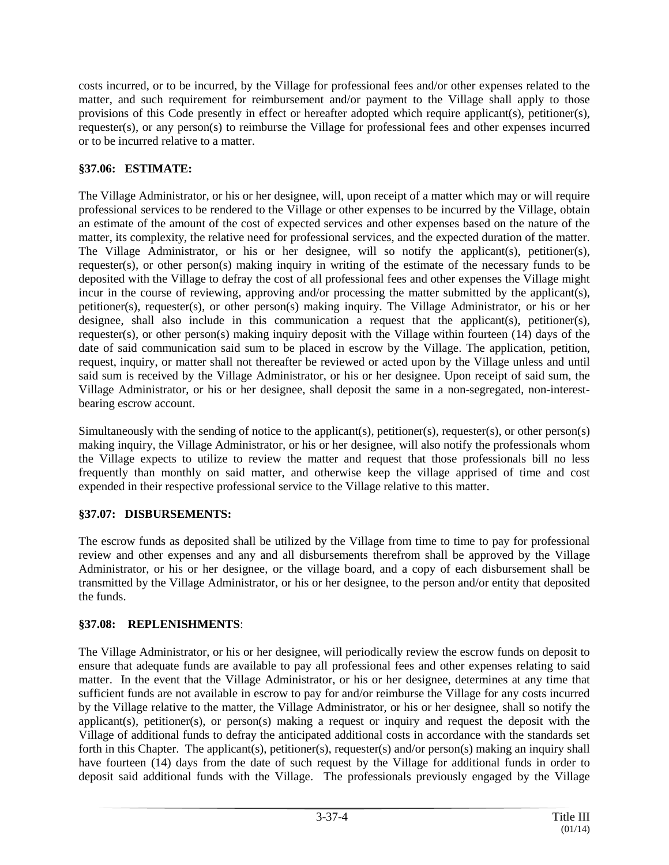costs incurred, or to be incurred, by the Village for professional fees and/or other expenses related to the matter, and such requirement for reimbursement and/or payment to the Village shall apply to those provisions of this Code presently in effect or hereafter adopted which require applicant(s), petitioner(s), requester(s), or any person(s) to reimburse the Village for professional fees and other expenses incurred or to be incurred relative to a matter.

## **§37.06: ESTIMATE:**

The Village Administrator, or his or her designee, will, upon receipt of a matter which may or will require professional services to be rendered to the Village or other expenses to be incurred by the Village, obtain an estimate of the amount of the cost of expected services and other expenses based on the nature of the matter, its complexity, the relative need for professional services, and the expected duration of the matter. The Village Administrator, or his or her designee, will so notify the applicant(s), petitioner(s), requester(s), or other person(s) making inquiry in writing of the estimate of the necessary funds to be deposited with the Village to defray the cost of all professional fees and other expenses the Village might incur in the course of reviewing, approving and/or processing the matter submitted by the applicant(s), petitioner(s), requester(s), or other person(s) making inquiry. The Village Administrator, or his or her designee, shall also include in this communication a request that the applicant(s), petitioner(s), requester(s), or other person(s) making inquiry deposit with the Village within fourteen (14) days of the date of said communication said sum to be placed in escrow by the Village. The application, petition, request, inquiry, or matter shall not thereafter be reviewed or acted upon by the Village unless and until said sum is received by the Village Administrator, or his or her designee. Upon receipt of said sum, the Village Administrator, or his or her designee, shall deposit the same in a non-segregated, non-interestbearing escrow account.

Simultaneously with the sending of notice to the applicant(s), petitioner(s), requester(s), or other person(s) making inquiry, the Village Administrator, or his or her designee, will also notify the professionals whom the Village expects to utilize to review the matter and request that those professionals bill no less frequently than monthly on said matter, and otherwise keep the village apprised of time and cost expended in their respective professional service to the Village relative to this matter.

## **§37.07: DISBURSEMENTS:**

The escrow funds as deposited shall be utilized by the Village from time to time to pay for professional review and other expenses and any and all disbursements therefrom shall be approved by the Village Administrator, or his or her designee, or the village board, and a copy of each disbursement shall be transmitted by the Village Administrator, or his or her designee, to the person and/or entity that deposited the funds.

# **§37.08: REPLENISHMENTS**:

The Village Administrator, or his or her designee, will periodically review the escrow funds on deposit to ensure that adequate funds are available to pay all professional fees and other expenses relating to said matter. In the event that the Village Administrator, or his or her designee, determines at any time that sufficient funds are not available in escrow to pay for and/or reimburse the Village for any costs incurred by the Village relative to the matter, the Village Administrator, or his or her designee, shall so notify the applicant(s), petitioner(s), or person(s) making a request or inquiry and request the deposit with the Village of additional funds to defray the anticipated additional costs in accordance with the standards set forth in this Chapter. The applicant(s), petitioner(s), requester(s) and/or person(s) making an inquiry shall have fourteen (14) days from the date of such request by the Village for additional funds in order to deposit said additional funds with the Village. The professionals previously engaged by the Village